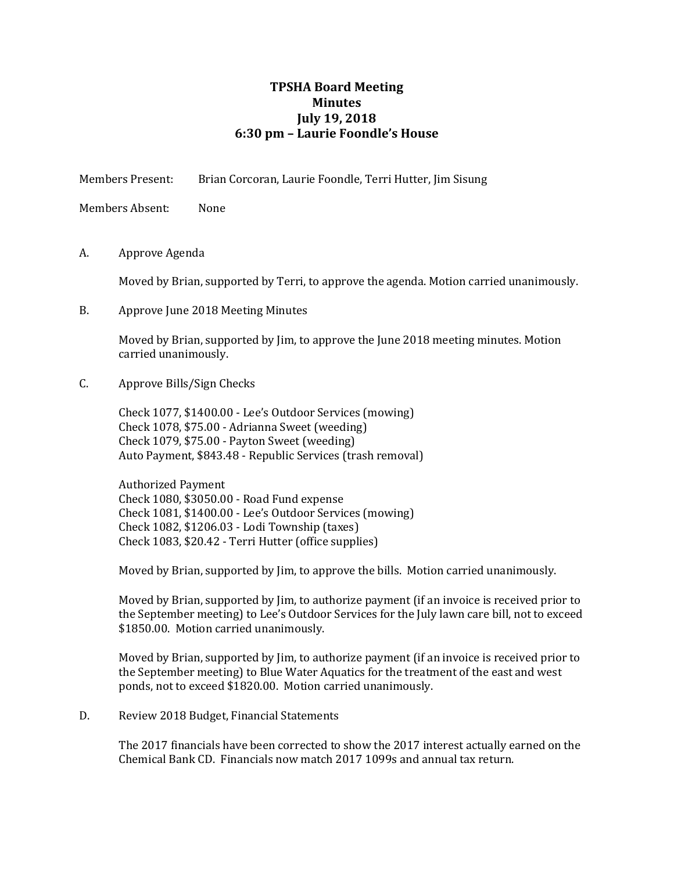## **TPSHA Board Meeting Minutes July 19, 2018 6:30 pm – Laurie Foondle's House**

Members Present: Brian Corcoran, Laurie Foondle, Terri Hutter, Jim Sisung

Members Absent: None

A. Approve Agenda

Moved by Brian, supported by Terri, to approve the agenda. Motion carried unanimously.

B. Approve June 2018 Meeting Minutes

Moved by Brian, supported by Jim, to approve the June 2018 meeting minutes. Motion carried unanimously.

C. Approve Bills/Sign Checks

Check 1077, \$1400.00 - Lee's Outdoor Services (mowing) Check 1078, \$75.00 - Adrianna Sweet (weeding) Check 1079, \$75.00 - Payton Sweet (weeding) Auto Payment, \$843.48 - Republic Services (trash removal)

Authorized Payment Check 1080, \$3050.00 - Road Fund expense Check 1081, \$1400.00 - Lee's Outdoor Services (mowing) Check 1082, \$1206.03 - Lodi Township (taxes) Check 1083, \$20.42 - Terri Hutter (office supplies)

Moved by Brian, supported by Jim, to approve the bills. Motion carried unanimously.

Moved by Brian, supported by Jim, to authorize payment (if an invoice is received prior to the September meeting) to Lee's Outdoor Services for the July lawn care bill, not to exceed \$1850.00. Motion carried unanimously.

Moved by Brian, supported by Jim, to authorize payment (if an invoice is received prior to the September meeting) to Blue Water Aquatics for the treatment of the east and west ponds, not to exceed \$1820.00. Motion carried unanimously.

D. Review 2018 Budget, Financial Statements

The 2017 financials have been corrected to show the 2017 interest actually earned on the Chemical Bank CD. Financials now match 2017 1099s and annual tax return.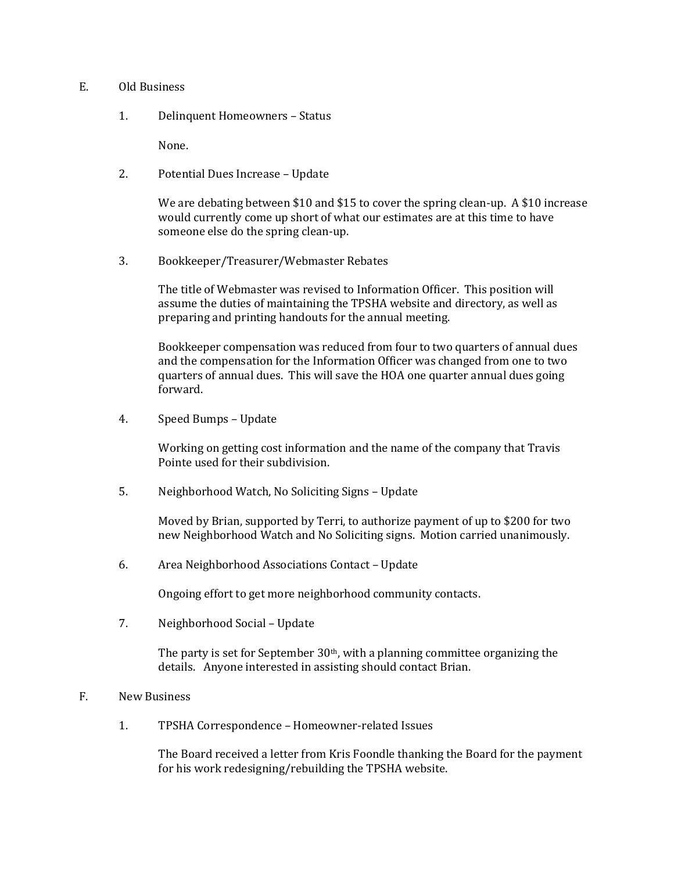## E. Old Business

1. Delinquent Homeowners – Status

None.

2. Potential Dues Increase – Update

We are debating between \$10 and \$15 to cover the spring clean-up. A \$10 increase would currently come up short of what our estimates are at this time to have someone else do the spring clean-up.

3. Bookkeeper/Treasurer/Webmaster Rebates

The title of Webmaster was revised to Information Officer. This position will assume the duties of maintaining the TPSHA website and directory, as well as preparing and printing handouts for the annual meeting.

Bookkeeper compensation was reduced from four to two quarters of annual dues and the compensation for the Information Officer was changed from one to two quarters of annual dues. This will save the HOA one quarter annual dues going forward.

4. Speed Bumps – Update

Working on getting cost information and the name of the company that Travis Pointe used for their subdivision.

5. Neighborhood Watch, No Soliciting Signs – Update

Moved by Brian, supported by Terri, to authorize payment of up to \$200 for two new Neighborhood Watch and No Soliciting signs. Motion carried unanimously.

6. Area Neighborhood Associations Contact – Update

Ongoing effort to get more neighborhood community contacts.

7. Neighborhood Social – Update

The party is set for September 30th, with a planning committee organizing the details. Anyone interested in assisting should contact Brian.

## F. New Business

1. TPSHA Correspondence – Homeowner-related Issues

The Board received a letter from Kris Foondle thanking the Board for the payment for his work redesigning/rebuilding the TPSHA website.